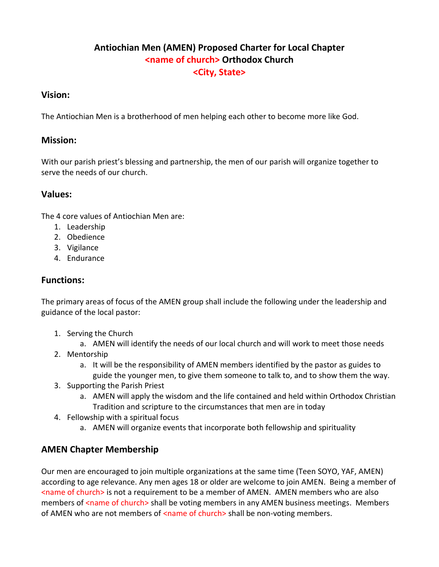## **Antiochian Men (AMEN) Proposed Charter for Local Chapter <name of church> Orthodox Church <City, State>**

#### **Vision:**

The Antiochian Men is a brotherhood of men helping each other to become more like God.

#### **Mission:**

With our parish priest's blessing and partnership, the men of our parish will organize together to serve the needs of our church.

#### **Values:**

The 4 core values of Antiochian Men are:

- 1. Leadership
- 2. Obedience
- 3. Vigilance
- 4. Endurance

## **Functions:**

The primary areas of focus of the AMEN group shall include the following under the leadership and guidance of the local pastor:

- 1. Serving the Church
	- a. AMEN will identify the needs of our local church and will work to meet those needs
- 2. Mentorship
	- a. It will be the responsibility of AMEN members identified by the pastor as guides to guide the younger men, to give them someone to talk to, and to show them the way.
- 3. Supporting the Parish Priest
	- a. AMEN will apply the wisdom and the life contained and held within Orthodox Christian Tradition and scripture to the circumstances that men are in today
- 4. Fellowship with a spiritual focus
	- a. AMEN will organize events that incorporate both fellowship and spirituality

## **AMEN Chapter Membership**

Our men are encouraged to join multiple organizations at the same time (Teen SOYO, YAF, AMEN) according to age relevance. Any men ages 18 or older are welcome to join AMEN. Being a member of <name of church> is not a requirement to be a member of AMEN. AMEN members who are also members of <name of church> shall be voting members in any AMEN business meetings. Members of AMEN who are not members of <name of church> shall be non-voting members.